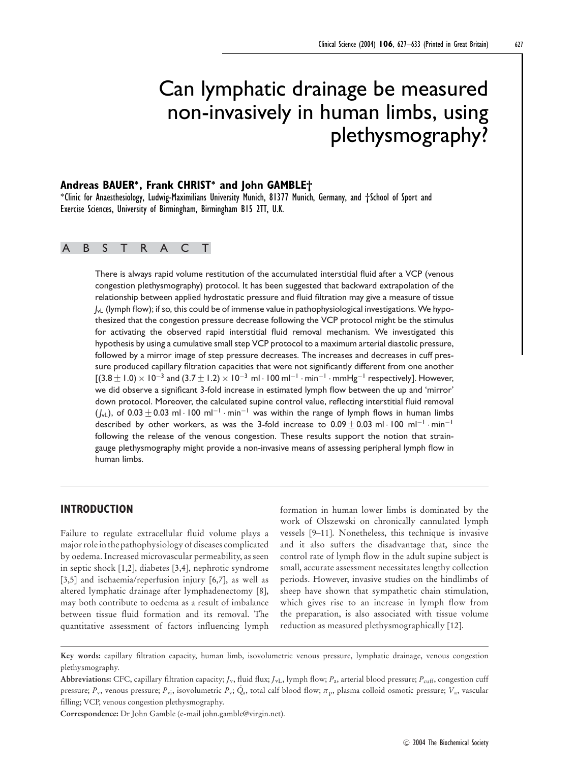# Can lymphatic drainage be measured non-invasively in human limbs, using plethysmography?

# **Andreas BAUER∗, Frank CHRIST<sup>∗</sup> and John GAMBLE†**

<sup>∗</sup>Clinic for Anaesthesiology, Ludwig-Maximilians University Munich, 81377 Munich, Germany, and †School of Sport and Exercise Sciences, University of Birmingham, Birmingham B15 2TT, U.K.

# ABSTRACT

There is always rapid volume restitution of the accumulated interstitial fluid after a VCP (venous congestion plethysmography) protocol. It has been suggested that backward extrapolation of the relationship between applied hydrostatic pressure and fluid filtration may give a measure of tissue  $J_{\nu L}$  (lymph flow); if so, this could be of immense value in pathophysiological investigations. We hypothesized that the congestion pressure decrease following the VCP protocol might be the stimulus for activating the observed rapid interstitial fluid removal mechanism. We investigated this hypothesis by using a cumulative small step VCP protocol to a maximum arterial diastolic pressure, followed by a mirror image of step pressure decreases. The increases and decreases in cuff pressure produced capillary filtration capacities that were not significantly different from one another  $[(3.8 \pm 1.0) \times 10^{-3}$  and  $(3.7 \pm 1.2) \times 10^{-3}$  ml · 100 ml<sup>-1</sup> · min<sup>-1</sup> · mmHg<sup>-1</sup> respectively]. However, we did observe a significant 3-fold increase in estimated lymph flow between the up and 'mirror' down protocol. Moreover, the calculated supine control value, reflecting interstitial fluid removal  $(J_{\nu L})$ , of 0.03 ± 0.03 ml · 100 ml<sup>-1</sup> · min<sup>-1</sup> was within the range of lymph flows in human limbs described by other workers, as was the 3-fold increase to  $0.09 \pm 0.03$  ml · 100 ml<sup>-1</sup> · min<sup>-1</sup> following the release of the venous congestion. These results support the notion that straingauge plethysmography might provide a non-invasive means of assessing peripheral lymph flow in human limbs.

# **INTRODUCTION**

Failure to regulate extracellular fluid volume plays a major role in the pathophysiology of diseases complicated by oedema. Increased microvascular permeability, as seen in septic shock [1,2], diabetes [3,4], nephrotic syndrome [3,5] and ischaemia/reperfusion injury [6,7], as well as altered lymphatic drainage after lymphadenectomy [8], may both contribute to oedema as a result of imbalance between tissue fluid formation and its removal. The quantitative assessment of factors influencing lymph formation in human lower limbs is dominated by the work of Olszewski on chronically cannulated lymph vessels [9–11]. Nonetheless, this technique is invasive and it also suffers the disadvantage that, since the control rate of lymph flow in the adult supine subject is small, accurate assessment necessitates lengthy collection periods. However, invasive studies on the hindlimbs of sheep have shown that sympathetic chain stimulation, which gives rise to an increase in lymph flow from the preparation, is also associated with tissue volume reduction as measured plethysmographically [12].

**Key words:** capillary filtration capacity, human limb, isovolumetric venous pressure, lymphatic drainage, venous congestion plethysmography.

Abbreviations: CFC, capillary filtration capacity;  $J_v$ , fluid flux;  $J_v$ , lymph flow;  $P_a$ , arterial blood pressure;  $P_{\text{cuff}}$ , congestion cuff pressure; *<sup>P</sup>*v, venous pressure; *<sup>P</sup>*vi, isovolumetric *<sup>P</sup>*v; . *Q*a, total calf blood flow; πp, plasma colloid osmotic pressure; *V*a, vascular filling; VCP, venous congestion plethysmography.

**Correspondence:** Dr John Gamble (e-mail john.gamble@virgin.net).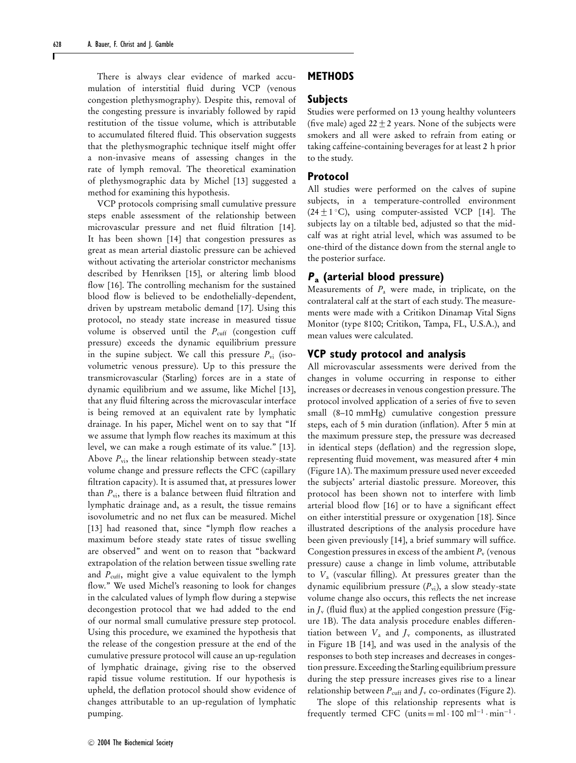There is always clear evidence of marked accumulation of interstitial fluid during VCP (venous congestion plethysmography). Despite this, removal of the congesting pressure is invariably followed by rapid restitution of the tissue volume, which is attributable to accumulated filtered fluid. This observation suggests that the plethysmographic technique itself might offer a non-invasive means of assessing changes in the rate of lymph removal. The theoretical examination of plethysmographic data by Michel [13] suggested a method for examining this hypothesis.

VCP protocols comprising small cumulative pressure steps enable assessment of the relationship between microvascular pressure and net fluid filtration [14]. It has been shown [14] that congestion pressures as great as mean arterial diastolic pressure can be achieved without activating the arteriolar constrictor mechanisms described by Henriksen [15], or altering limb blood flow [16]. The controlling mechanism for the sustained blood flow is believed to be endothelially-dependent, driven by upstream metabolic demand [17]. Using this protocol, no steady state increase in measured tissue volume is observed until the *P*<sub>cuff</sub> (congestion cuff pressure) exceeds the dynamic equilibrium pressure in the supine subject. We call this pressure  $P_{vi}$  (isovolumetric venous pressure). Up to this pressure the transmicrovascular (Starling) forces are in a state of dynamic equilibrium and we assume, like Michel [13], that any fluid filtering across the microvascular interface is being removed at an equivalent rate by lymphatic drainage. In his paper, Michel went on to say that "If we assume that lymph flow reaches its maximum at this level, we can make a rough estimate of its value." [13]. Above  $P_{vi}$ , the linear relationship between steady-state volume change and pressure reflects the CFC (capillary filtration capacity). It is assumed that, at pressures lower than  $P_{vi}$ , there is a balance between fluid filtration and lymphatic drainage and, as a result, the tissue remains isovolumetric and no net flux can be measured. Michel [13] had reasoned that, since "lymph flow reaches a maximum before steady state rates of tissue swelling are observed" and went on to reason that "backward extrapolation of the relation between tissue swelling rate and  $P_{\text{cuff}}$ , might give a value equivalent to the lymph flow." We used Michel's reasoning to look for changes in the calculated values of lymph flow during a stepwise decongestion protocol that we had added to the end of our normal small cumulative pressure step protocol. Using this procedure, we examined the hypothesis that the release of the congestion pressure at the end of the cumulative pressure protocol will cause an up-regulation of lymphatic drainage, giving rise to the observed rapid tissue volume restitution. If our hypothesis is upheld, the deflation protocol should show evidence of changes attributable to an up-regulation of lymphatic pumping.

# **METHODS**

#### **Subjects**

Studies were performed on 13 young healthy volunteers (five male) aged  $22 \pm 2$  years. None of the subjects were smokers and all were asked to refrain from eating or taking caffeine-containing beverages for at least 2 h prior to the study.

#### **Protocol**

All studies were performed on the calves of supine subjects, in a temperature-controlled environment  $(24 \pm 1 \degree C)$ , using computer-assisted VCP [14]. The subjects lay on a tiltable bed, adjusted so that the midcalf was at right atrial level, which was assumed to be one-third of the distance down from the sternal angle to the posterior surface.

## **<sup>P</sup><sup>a</sup> (arterial blood pressure)**

Measurements of *P*<sup>a</sup> were made, in triplicate, on the contralateral calf at the start of each study. The measurements were made with a Critikon Dinamap Vital Signs Monitor (type 8100; Critikon, Tampa, FL, U.S.A.), and mean values were calculated.

## **VCP study protocol and analysis**

All microvascular assessments were derived from the changes in volume occurring in response to either increases or decreases in venous congestion pressure. The protocol involved application of a series of five to seven small (8–10 mmHg) cumulative congestion pressure steps, each of 5 min duration (inflation). After 5 min at the maximum pressure step, the pressure was decreased in identical steps (deflation) and the regression slope, representing fluid movement, was measured after 4 min (Figure 1A). The maximum pressure used never exceeded the subjects' arterial diastolic pressure. Moreover, this protocol has been shown not to interfere with limb arterial blood flow [16] or to have a significant effect on either interstitial pressure or oxygenation [18]. Since illustrated descriptions of the analysis procedure have been given previously [14], a brief summary will suffice. Congestion pressures in excess of the ambient  $P_\text{v}$  (venous pressure) cause a change in limb volume, attributable to *V*<sup>a</sup> (vascular filling). At pressures greater than the dynamic equilibrium pressure ( $P_{\rm vi}$ ), a slow steady-state volume change also occurs, this reflects the net increase in  $J_{\rm v}$  (fluid flux) at the applied congestion pressure (Figure 1B). The data analysis procedure enables differentiation between  $V_a$  and  $J_v$  components, as illustrated in Figure 1B [14], and was used in the analysis of the responses to both step increases and decreases in congestion pressure. Exceeding the Starling equilibrium pressure during the step pressure increases gives rise to a linear relationship between  $P_{\text{cuff}}$  and  $J_{\text{v}}$  co-ordinates (Figure 2).

The slope of this relationship represents what is frequently termed CFC (units = ml · 100 ml<sup>-1</sup> · min<sup>-1</sup> ·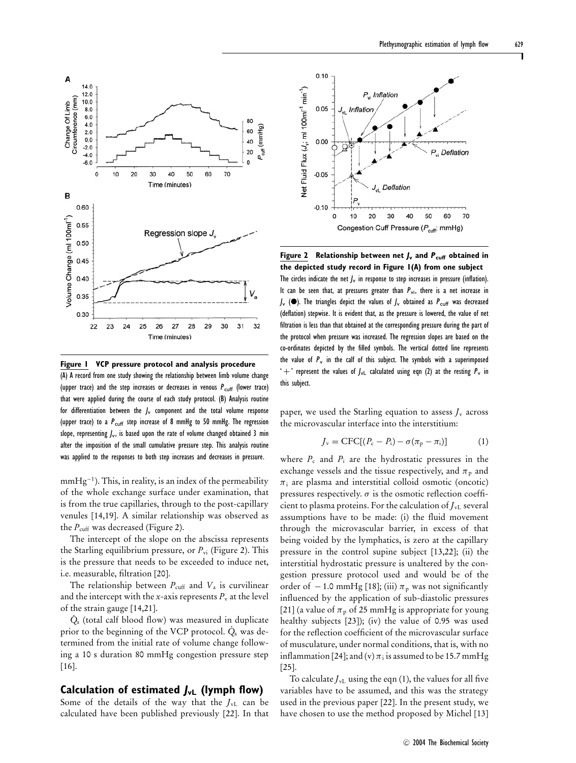

**Figure 1 VCP pressure protocol and analysis procedure** (A) A record from one study showing the relationship between limb volume change (upper trace) and the step increases or decreases in venous  $P_{\text{cuff}}$  (lower trace) that were applied during the course of each study protocol. (B) Analysis routine for differentiation between the  $J_v$  component and the total volume response (upper trace) to a  $P_{\text{cuff}}$  step increase of 8 mmHg to 50 mmHg. The regression slope, representing  $J_v$ , is based upon the rate of volume changed obtained 3 min after the imposition of the small cumulative pressure step. This analysis routine was applied to the responses to both step increases and decreases in pressure.

 $mmHg^{-1}$ ). This, in reality, is an index of the permeability of the whole exchange surface under examination, that is from the true capillaries, through to the post-capillary venules [14,19]. A similar relationship was observed as the  $P_{\text{cuff}}$  was decreased (Figure 2).

The intercept of the slope on the abscissa represents the Starling equilibrium pressure, or  $P_{vi}$  (Figure 2). This is the pressure that needs to be exceeded to induce net, i.e. measurable, filtration [20].

The relationship between  $P_{\text{cuff}}$  and  $V_a$  is curvilinear and the intercept with the *x*-axis represents  $P<sub>v</sub>$  at the level of the strain gauge [14,21].

*Q*<sup>a</sup> (total calf blood flow) was measured in duplicate prior to the beginning of the VCP protocol.  $\dot{Q}_a$  was determined from the initial rate of volume change following a 10 s duration 80 mmHg congestion pressure step [16].

#### **Calculation of estimated JvL (lymph flow)**

Some of the details of the way that the  $J_{\text{vL}}$  can be calculated have been published previously [22]. In that



**Figure 2 Relationship between net J<sup>v</sup> and <sup>P</sup>cuff obtained in the depicted study record in Figure 1(A) from one subject** The circles indicate the net  $J_v$  in response to step increases in pressure (inflation). It can be seen that, at pressures greater than  $P_{\rm vi}$ , there is a net increase in  $J_{\rm v}$  ( $\bullet$ ). The triangles depict the values of  $J_{\rm v}$  obtained as  $P_{\rm {cuff}}$  was decreased (deflation) stepwise. It is evident that, as the pressure is lowered, the value of net filtration is less than that obtained at the corresponding pressure during the part of the protocol when pressure was increased. The regression slopes are based on the co-ordinates depicted by the filled symbols. The vertical dotted line represents the value of  $P_v$  in the calf of this subject. The symbols with a superimposed ' + ' represent the values of  $J_{\rm vL}$  calculated using eqn (2) at the resting  $P_{\rm v}$  in this subject.

paper, we used the Starling equation to assess  $J_{\rm v}$  across the microvascular interface into the interstitium:

$$
J_{\rm v} = \text{CFC}[(P_{\rm c} - P_{\rm i}) - \sigma(\pi_{\rm p} - \pi_{\rm i})] \tag{1}
$$

where  $P_c$  and  $P_i$  are the hydrostatic pressures in the exchange vessels and the tissue respectively, and  $\pi_{p}$  and  $\pi_i$  are plasma and interstitial colloid osmotic (oncotic) pressures respectively.  $\sigma$  is the osmotic reflection coefficient to plasma proteins. For the calculation of  $J_{\rm vL}$  several assumptions have to be made: (i) the fluid movement through the microvascular barrier, in excess of that being voided by the lymphatics, is zero at the capillary pressure in the control supine subject [13,22]; (ii) the interstitial hydrostatic pressure is unaltered by the congestion pressure protocol used and would be of the order of  $-1.0$  mmHg [18]; (iii)  $\pi_{p}$  was not significantly influenced by the application of sub-diastolic pressures [21] (a value of  $\pi_p$  of 25 mmHg is appropriate for young healthy subjects [23]); (iv) the value of 0.95 was used for the reflection coefficient of the microvascular surface of musculature, under normal conditions, that is, with no inflammation [24]; and (v)  $\pi$ ; is assumed to be 15.7 mmHg [25].

To calculate  $J_{\rm vL}$  using the eqn (1), the values for all five variables have to be assumed, and this was the strategy used in the previous paper [22]. In the present study, we have chosen to use the method proposed by Michel [13]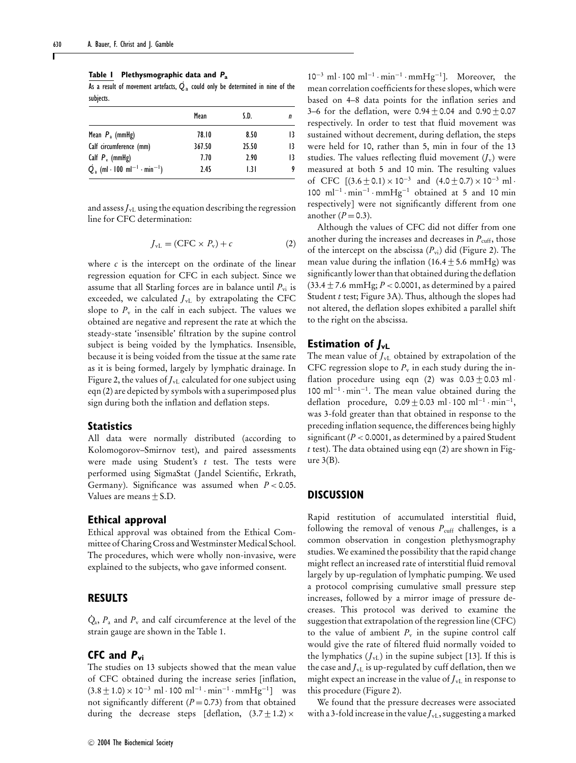**Table 1 Plethysmographic data and** *P***<sup>a</sup>**

**EXECTE:** THE CONSTRIBUTE CALL AND THE RESULT OF THE RESULT OF THE RESULT OF THE RESULT OF THE RESULT OF THE RESULT OF THE RESULT OF THE RESULT OF THE RESULT OF THE RESULT OF THE RESULT OF THE RESULT OF THE RESULT OF THE R subjects.

|                                                              | Mean   | S.D.  |    |
|--------------------------------------------------------------|--------|-------|----|
| Mean $P_a$ (mmHg)                                            | 78.10  | 8.50  | 13 |
| Calf circumference (mm)                                      | 367.50 | 25.50 | 13 |
| Calf $P_v$ (mmHg)                                            | 7.70   | 2.90  | 13 |
| $\dot{Q}_a$ (ml · 100 ml <sup>-1</sup> · min <sup>-1</sup> ) | 2.45   | 1.3 I | 9  |

and assess $J_{\rm vL}$  using the equation describing the regression line for CFC determination:

$$
J_{\rm vL} = (\text{CFC} \times P_{\rm v}) + c \tag{2}
$$

where *c* is the intercept on the ordinate of the linear regression equation for CFC in each subject. Since we assume that all Starling forces are in balance until  $P_{vi}$  is exceeded, we calculated *J*vL by extrapolating the CFC slope to  $P_v$  in the calf in each subject. The values we obtained are negative and represent the rate at which the steady-state 'insensible' filtration by the supine control subject is being voided by the lymphatics. Insensible, because it is being voided from the tissue at the same rate as it is being formed, largely by lymphatic drainage. In Figure 2, the values of  $J_{vL}$  calculated for one subject using eqn (2) are depicted by symbols with a superimposed plus sign during both the inflation and deflation steps.

#### **Statistics**

All data were normally distributed (according to Kolomogorov–Smirnov test), and paired assessments were made using Student's *t* test. The tests were performed using SigmaStat ( Jandel Scientific, Erkrath, Germany). Significance was assumed when *P* < 0.05. Values are means  $\pm$  S.D.

#### **Ethical approval**

Ethical approval was obtained from the Ethical Committee of Charing Cross and Westminster Medical School. The procedures, which were wholly non-invasive, were explained to the subjects, who gave informed consent.

## **RESULTS**

 $\dot{Q}_a$ ,  $P_a$  and  $P_v$  and calf circumference at the level of the strain gauge are shown in the Table 1.

## **CFC and <sup>P</sup>vi**

The studies on 13 subjects showed that the mean value of CFC obtained during the increase series [inflation,  $(3.8 \pm 1.0) \times 10^{-3}$  ml · 100 ml<sup>-1</sup> · min<sup>-1</sup> · mmHg<sup>-1</sup>] was not significantly different  $(P = 0.73)$  from that obtained during the decrease steps [deflation,  $(3.7 \pm 1.2) \times$ 

-<sup>C</sup> 2004 The Biochemical Society

10−<sup>3</sup> ml · 100 ml−<sup>1</sup> · min−<sup>1</sup> · mmHg−1]. Moreover, the mean correlation coefficients for these slopes, which were based on 4–8 data points for the inflation series and 3–6 for the deflation, were  $0.94 \pm 0.04$  and  $0.90 \pm 0.07$ respectively. In order to test that fluid movement was sustained without decrement, during deflation, the steps were held for 10, rather than 5, min in four of the 13 studies. The values reflecting fluid movement  $(J_v)$  were measured at both 5 and 10 min. The resulting values of CFC  $[(3.6 \pm 0.1) \times 10^{-3}$  and  $(4.0 \pm 0.7) \times 10^{-3}$  ml· 100 ml−<sup>1</sup> · min−<sup>1</sup> · mmHg−<sup>1</sup> obtained at 5 and 10 min respectively] were not significantly different from one another  $(P = 0.3)$ .

Although the values of CFC did not differ from one another during the increases and decreases in  $P_{\text{cuff}}$ , those of the intercept on the abscissa ( $P_{vi}$ ) did (Figure 2). The mean value during the inflation (16.4  $\pm$  5.6 mmHg) was significantly lower than that obtained during the deflation (33.4 ± 7.6 mmHg; *P* < 0.0001, as determined by a paired Student *t* test; Figure 3A). Thus, although the slopes had not altered, the deflation slopes exhibited a parallel shift to the right on the abscissa.

# **Estimation of**  $J_{\text{vL}}$

The mean value of  $J_{vL}$  obtained by extrapolation of the CFC regression slope to  $P_v$  in each study during the inflation procedure using eqn (2) was  $0.03 \pm 0.03$  ml · 100 ml−<sup>1</sup> · min−1. The mean value obtained during the deflation procedure,  $0.09 \pm 0.03$  ml $\cdot 100$  ml<sup>-1</sup> $\cdot$ min<sup>-1</sup>, was 3-fold greater than that obtained in response to the preceding inflation sequence, the differences being highly significant  $(P < 0.0001$ , as determined by a paired Student *t* test). The data obtained using eqn (2) are shown in Figure  $3(B)$ .

#### **DISCUSSION**

Rapid restitution of accumulated interstitial fluid, following the removal of venous  $P_{\text{cuff}}$  challenges, is a common observation in congestion plethysmography studies. We examined the possibility that the rapid change might reflect an increased rate of interstitial fluid removal largely by up-regulation of lymphatic pumping. We used a protocol comprising cumulative small pressure step increases, followed by a mirror image of pressure decreases. This protocol was derived to examine the suggestion that extrapolation of the regression line (CFC) to the value of ambient  $P_{\rm v}$  in the supine control calf would give the rate of filtered fluid normally voided to the lymphatics  $(I_{vL})$  in the supine subject [13]. If this is the case and  $J_{vL}$  is up-regulated by cuff deflation, then we might expect an increase in the value of  $J_{\rm vL}$  in response to this procedure (Figure 2).

We found that the pressure decreases were associated with a 3-fold increase in the value  $J_{\rm vL}$ , suggesting a marked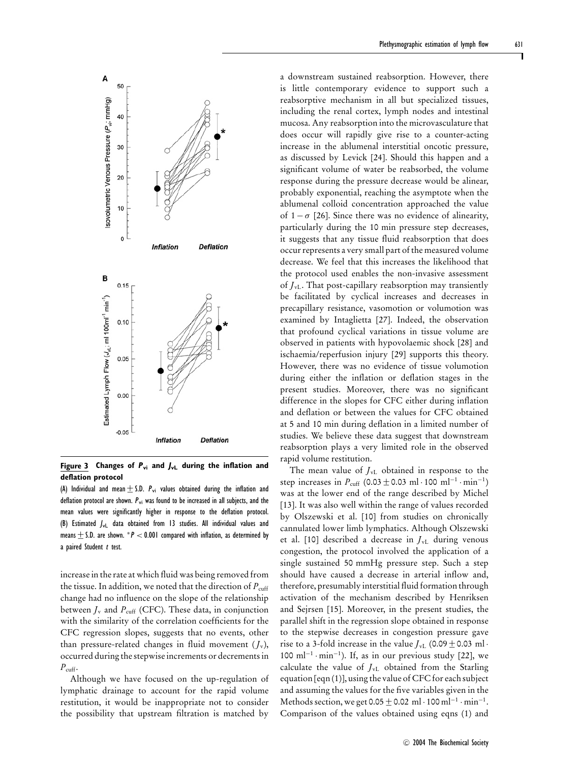

**Figure 3 Changes of <sup>P</sup>vi and JvL during the inflation and deflation protocol**

(A) Individual and mean  $\pm$  S.D.  $P_{\rm vi}$  values obtained during the inflation and deflation protocol are shown.  $P_{\rm vi}$  was found to be increased in all subjects, and the mean values were significantly higher in response to the deflation protocol. (B) Estimated  $J_{\rm VL}$  data obtained from 13 studies. All individual values and means  $\pm$  S.D. are shown. \*P < 0.001 compared with inflation, as determined by a paired Student  $t$  test.

increase in the rate at which fluid was being removed from the tissue. In addition, we noted that the direction of  $P_{\text{cuff}}$ change had no influence on the slope of the relationship between  $J_v$  and  $P_{\text{cuff}}$  (CFC). These data, in conjunction with the similarity of the correlation coefficients for the CFC regression slopes, suggests that no events, other than pressure-related changes in fluid movement  $(J_v)$ , occurred during the stepwise increments or decrements in  $P_{\text{cuff}}$ .

Although we have focused on the up-regulation of lymphatic drainage to account for the rapid volume restitution, it would be inappropriate not to consider the possibility that upstream filtration is matched by

a downstream sustained reabsorption. However, there is little contemporary evidence to support such a reabsorptive mechanism in all but specialized tissues, including the renal cortex, lymph nodes and intestinal mucosa. Any reabsorption into the microvasculature that does occur will rapidly give rise to a counter-acting increase in the ablumenal interstitial oncotic pressure, as discussed by Levick [24]. Should this happen and a significant volume of water be reabsorbed, the volume response during the pressure decrease would be alinear, probably exponential, reaching the asymptote when the ablumenal colloid concentration approached the value of  $1 - \sigma$  [26]. Since there was no evidence of alinearity, particularly during the 10 min pressure step decreases, it suggests that any tissue fluid reabsorption that does occur represents a very small part of the measured volume decrease. We feel that this increases the likelihood that the protocol used enables the non-invasive assessment of *J*vL. That post-capillary reabsorption may transiently be facilitated by cyclical increases and decreases in precapillary resistance, vasomotion or volumotion was examined by Intaglietta [27]. Indeed, the observation that profound cyclical variations in tissue volume are observed in patients with hypovolaemic shock [28] and ischaemia/reperfusion injury [29] supports this theory. However, there was no evidence of tissue volumotion during either the inflation or deflation stages in the present studies. Moreover, there was no significant difference in the slopes for CFC either during inflation and deflation or between the values for CFC obtained at 5 and 10 min during deflation in a limited number of studies. We believe these data suggest that downstream reabsorption plays a very limited role in the observed rapid volume restitution.

The mean value of  $J_{\rm vL}$  obtained in response to the step increases in  $P_{\text{cuff}}$  (0.03  $\pm$  0.03 ml · 100 ml<sup>-1</sup> · min<sup>-1</sup>) was at the lower end of the range described by Michel [13]. It was also well within the range of values recorded by Olszewski et al. [10] from studies on chronically cannulated lower limb lymphatics. Although Olszewski et al. [10] described a decrease in  $J_{vL}$  during venous congestion, the protocol involved the application of a single sustained 50 mmHg pressure step. Such a step should have caused a decrease in arterial inflow and, therefore, presumably interstitial fluid formation through activation of the mechanism described by Henriksen and Sejrsen [15]. Moreover, in the present studies, the parallel shift in the regression slope obtained in response to the stepwise decreases in congestion pressure gave rise to a 3-fold increase in the value  $J_{\rm vL}$  (0.09 ± 0.03 ml · 100 ml<sup>-1</sup> · min<sup>-1</sup>). If, as in our previous study [22], we calculate the value of  $J_{\text{vL}}$  obtained from the Starling equation [eqn (1)], using the value of CFC for each subject and assuming the values for the five variables given in the Methods section, we get  $0.05 \pm 0.02 \text{ ml} \cdot 100 \text{ ml}^{-1} \cdot \text{min}^{-1}$ . Comparison of the values obtained using eqns (1) and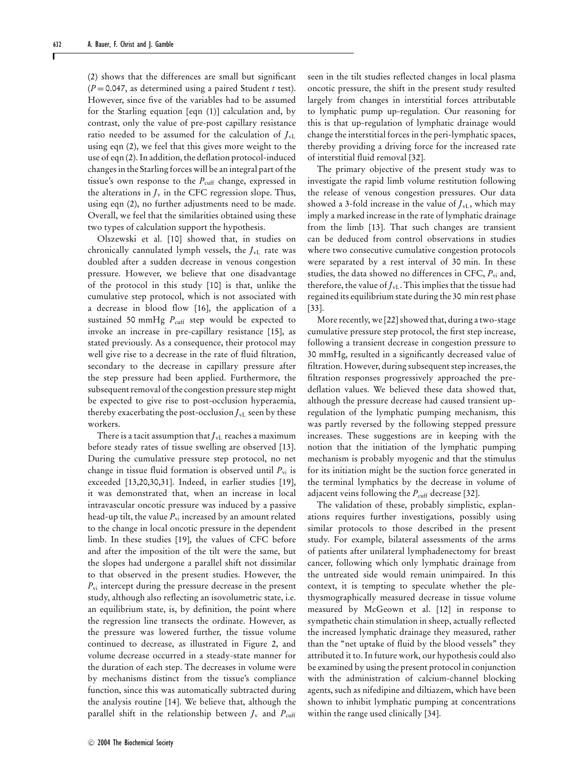(2) shows that the differences are small but significant (*P* = 0.047, as determined using a paired Student *t* test). However, since five of the variables had to be assumed for the Starling equation [eqn (1)] calculation and, by contrast, only the value of pre-post capillary resistance ratio needed to be assumed for the calculation of  $J_{\rm vL}$ using eqn (2), we feel that this gives more weight to the use of eqn (2). In addition, the deflation protocol-induced changes in the Starling forces will be an integral part of the tissue's own response to the *P*<sub>cuff</sub> change, expressed in the alterations in  $J_v$  in the CFC regression slope. Thus, using eqn (2), no further adjustments need to be made. Overall, we feel that the similarities obtained using these two types of calculation support the hypothesis.

Olszewski et al. [10] showed that, in studies on chronically cannulated lymph vessels, the *J*vL rate was doubled after a sudden decrease in venous congestion pressure. However, we believe that one disadvantage of the protocol in this study [10] is that, unlike the cumulative step protocol, which is not associated with a decrease in blood flow [16], the application of a sustained 50 mmHg  $P_{\text{cuff}}$  step would be expected to invoke an increase in pre-capillary resistance [15], as stated previously. As a consequence, their protocol may well give rise to a decrease in the rate of fluid filtration, secondary to the decrease in capillary pressure after the step pressure had been applied. Furthermore, the subsequent removal of the congestion pressure step might be expected to give rise to post-occlusion hyperaemia, thereby exacerbating the post-occlusion  $J_{\rm vL}$  seen by these workers.

There is a tacit assumption that  $J_{\rm vL}$  reaches a maximum before steady rates of tissue swelling are observed [13]. During the cumulative pressure step protocol, no net change in tissue fluid formation is observed until *P*vi is exceeded [13,20,30,31]. Indeed, in earlier studies [19], it was demonstrated that, when an increase in local intravascular oncotic pressure was induced by a passive head-up tilt, the value  $P_{vi}$  increased by an amount related to the change in local oncotic pressure in the dependent limb. In these studies [19], the values of CFC before and after the imposition of the tilt were the same, but the slopes had undergone a parallel shift not dissimilar to that observed in the present studies. However, the *P*vi intercept during the pressure decrease in the present study, although also reflecting an isovolumetric state, i.e. an equilibrium state, is, by definition, the point where the regression line transects the ordinate. However, as the pressure was lowered further, the tissue volume continued to decrease, as illustrated in Figure 2, and volume decrease occurred in a steady-state manner for the duration of each step. The decreases in volume were by mechanisms distinct from the tissue's compliance function, since this was automatically subtracted during the analysis routine [14]. We believe that, although the parallel shift in the relationship between  $J_v$  and  $P_{\text{cuff}}$ 

seen in the tilt studies reflected changes in local plasma oncotic pressure, the shift in the present study resulted largely from changes in interstitial forces attributable to lymphatic pump up-regulation. Our reasoning for this is that up-regulation of lymphatic drainage would change the interstitial forces in the peri-lymphatic spaces, thereby providing a driving force for the increased rate of interstitial fluid removal [32].

The primary objective of the present study was to investigate the rapid limb volume restitution following the release of venous congestion pressures. Our data showed a 3-fold increase in the value of  $J_{\rm vL}$ , which may imply a marked increase in the rate of lymphatic drainage from the limb [13]. That such changes are transient can be deduced from control observations in studies where two consecutive cumulative congestion protocols were separated by a rest interval of 30 min. In these studies, the data showed no differences in CFC,  $P_{vi}$  and, therefore, the value of  $J_{\rm vL}$ . This implies that the tissue had regained its equilibrium state during the 30 min rest phase [33].

More recently, we [22] showed that, during a two-stage cumulative pressure step protocol, the first step increase, following a transient decrease in congestion pressure to 30 mmHg, resulted in a significantly decreased value of filtration. However, during subsequent step increases, the filtration responses progressively approached the predeflation values. We believed these data showed that, although the pressure decrease had caused transient upregulation of the lymphatic pumping mechanism, this was partly reversed by the following stepped pressure increases. These suggestions are in keeping with the notion that the initiation of the lymphatic pumping mechanism is probably myogenic and that the stimulus for its initiation might be the suction force generated in the terminal lymphatics by the decrease in volume of adjacent veins following the  $P_{\text{cuff}}$  decrease [32].

The validation of these, probably simplistic, explanations requires further investigations, possibly using similar protocols to those described in the present study. For example, bilateral assessments of the arms of patients after unilateral lymphadenectomy for breast cancer, following which only lymphatic drainage from the untreated side would remain unimpaired. In this context, it is tempting to speculate whether the plethysmographically measured decrease in tissue volume measured by McGeown et al. [12] in response to sympathetic chain stimulation in sheep, actually reflected the increased lymphatic drainage they measured, rather than the "net uptake of fluid by the blood vessels" they attributed it to. In future work, our hypothesis could also be examined by using the present protocol in conjunction with the administration of calcium-channel blocking agents, such as nifedipine and diltiazem, which have been shown to inhibit lymphatic pumping at concentrations within the range used clinically [34].